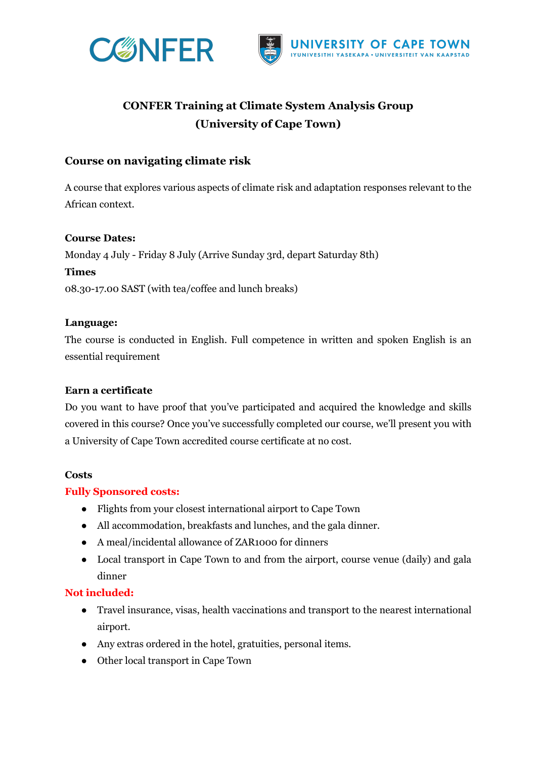



# **CONFER Training at Climate System Analysis Group (University of Cape Town)**

# **Course on navigating climate risk**

A course that explores various aspects of climate risk and adaptation responses relevant to the African context.

#### **Course Dates:**

Monday 4 July - Friday 8 July (Arrive Sunday 3rd, depart Saturday 8th) **Times**  08.30-17.00 SAST (with tea/coffee and lunch breaks)

#### **Language:**

The course is conducted in English. Full competence in written and spoken English is an essential requirement

# **Earn a certificate**

Do you want to have proof that you've participated and acquired the knowledge and skills covered in this course? Once you've successfully completed our course, we'll present you with a University of Cape Town accredited course certificate at no cost.

#### **Costs**

#### **Fully Sponsored costs:**

- Flights from your closest international airport to Cape Town
- All accommodation, breakfasts and lunches, and the gala dinner.
- A meal/incidental allowance of ZAR1000 for dinners
- Local transport in Cape Town to and from the airport, course venue (daily) and gala dinner

# **Not included:**

- Travel insurance, visas, health vaccinations and transport to the nearest international airport.
- Any extras ordered in the hotel, gratuities, personal items.
- Other local transport in Cape Town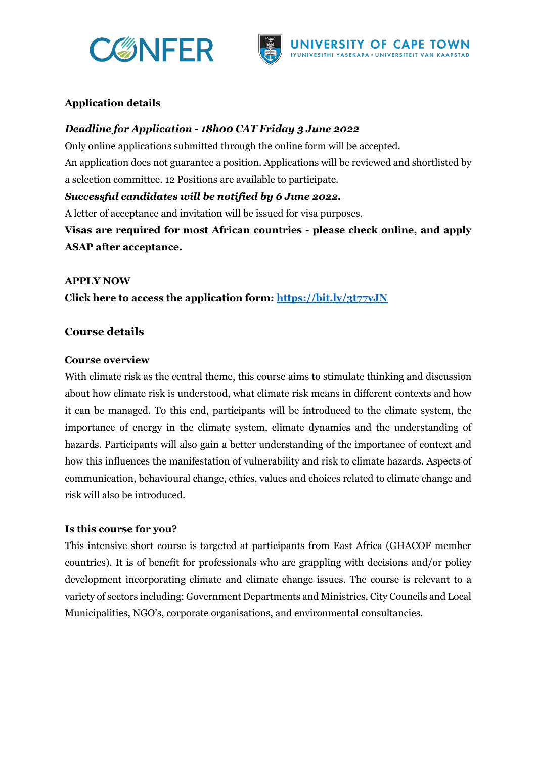



# **Application details**

#### *Deadline for Application - 18h00 CAT Friday 3 June 2022*

Only online applications submitted through the online form will be accepted. An application does not guarantee a position. Applications will be reviewed and shortlisted by a selection committee. 12 Positions are available to participate.

#### *Successful candidates will be notified by 6 June 2022.*

A letter of acceptance and invitation will be issued for visa purposes.

**Visas are required for most African countries - please check online, and apply ASAP after acceptance.**

#### **APPLY NOW**

**Click here to access the application form: https://bit.ly/3t77vJN**

# **Course details**

#### **Course overview**

With climate risk as the central theme, this course aims to stimulate thinking and discussion about how climate risk is understood, what climate risk means in different contexts and how it can be managed. To this end, participants will be introduced to the climate system, the importance of energy in the climate system, climate dynamics and the understanding of hazards. Participants will also gain a better understanding of the importance of context and how this influences the manifestation of vulnerability and risk to climate hazards. Aspects of communication, behavioural change, ethics, values and choices related to climate change and risk will also be introduced.

#### **Is this course for you?**

This intensive short course is targeted at participants from East Africa (GHACOF member countries). It is of benefit for professionals who are grappling with decisions and/or policy development incorporating climate and climate change issues. The course is relevant to a variety of sectors including: Government Departments and Ministries, City Councils and Local Municipalities, NGO's, corporate organisations, and environmental consultancies.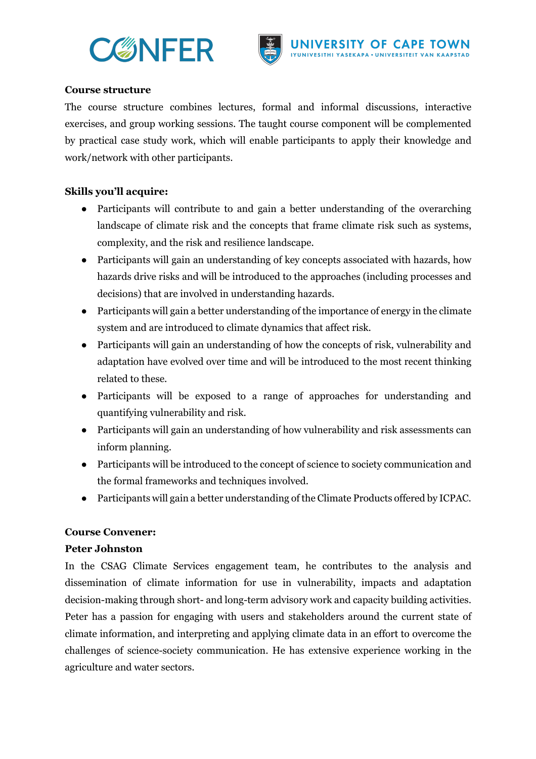



#### **Course structure**

The course structure combines lectures, formal and informal discussions, interactive exercises, and group working sessions. The taught course component will be complemented by practical case study work, which will enable participants to apply their knowledge and work/network with other participants.

# **Skills you'll acquire:**

- Participants will contribute to and gain a better understanding of the overarching landscape of climate risk and the concepts that frame climate risk such as systems, complexity, and the risk and resilience landscape.
- Participants will gain an understanding of key concepts associated with hazards, how hazards drive risks and will be introduced to the approaches (including processes and decisions) that are involved in understanding hazards.
- Participants will gain a better understanding of the importance of energy in the climate system and are introduced to climate dynamics that affect risk.
- Participants will gain an understanding of how the concepts of risk, vulnerability and adaptation have evolved over time and will be introduced to the most recent thinking related to these.
- Participants will be exposed to a range of approaches for understanding and quantifying vulnerability and risk.
- Participants will gain an understanding of how vulnerability and risk assessments can inform planning.
- Participants will be introduced to the concept of science to society communication and the formal frameworks and techniques involved.
- Participants will gain a better understanding of the Climate Products offered by ICPAC.

# **Course Convener:**

#### **Peter Johnston**

In the CSAG Climate Services engagement team, he contributes to the analysis and dissemination of climate information for use in vulnerability, impacts and adaptation decision-making through short- and long-term advisory work and capacity building activities. Peter has a passion for engaging with users and stakeholders around the current state of climate information, and interpreting and applying climate data in an effort to overcome the challenges of science-society communication. He has extensive experience working in the agriculture and water sectors.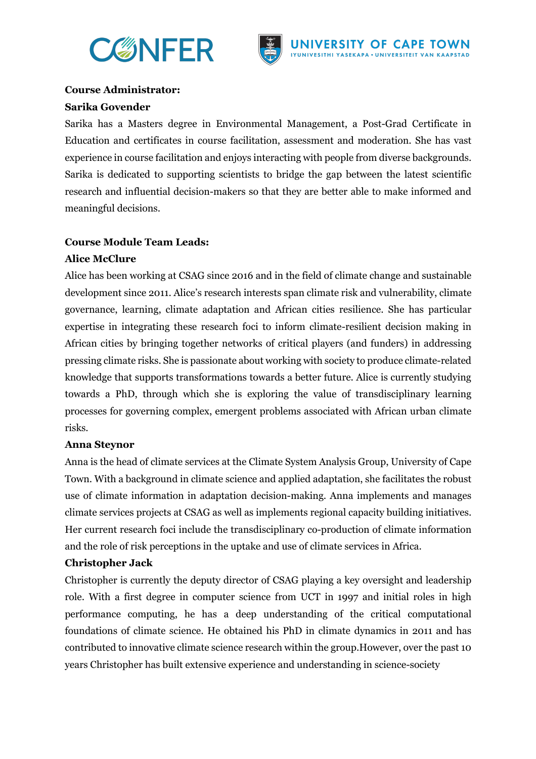



# **Course Administrator:**

#### **Sarika Govender**

Sarika has a Masters degree in Environmental Management, a Post-Grad Certificate in Education and certificates in course facilitation, assessment and moderation. She has vast experience in course facilitation and enjoys interacting with people from diverse backgrounds. Sarika is dedicated to supporting scientists to bridge the gap between the latest scientific research and influential decision-makers so that they are better able to make informed and meaningful decisions.

# **Course Module Team Leads:**

# **Alice McClure**

Alice has been working at CSAG since 2016 and in the field of climate change and sustainable development since 2011. Alice's research interests span climate risk and vulnerability, climate governance, learning, climate adaptation and African cities resilience. She has particular expertise in integrating these research foci to inform climate-resilient decision making in African cities by bringing together networks of critical players (and funders) in addressing pressing climate risks. She is passionate about working with society to produce climate-related knowledge that supports transformations towards a better future. Alice is currently studying towards a PhD, through which she is exploring the value of transdisciplinary learning processes for governing complex, emergent problems associated with African urban climate risks.

# **Anna Steynor**

Anna is the head of climate services at the Climate System Analysis Group, University of Cape Town. With a background in climate science and applied adaptation, she facilitates the robust use of climate information in adaptation decision-making. Anna implements and manages climate services projects at CSAG as well as implements regional capacity building initiatives. Her current research foci include the transdisciplinary co-production of climate information and the role of risk perceptions in the uptake and use of climate services in Africa.

# **Christopher Jack**

Christopher is currently the deputy director of CSAG playing a key oversight and leadership role. With a first degree in computer science from UCT in 1997 and initial roles in high performance computing, he has a deep understanding of the critical computational foundations of climate science. He obtained his PhD in climate dynamics in 2011 and has contributed to innovative climate science research within the group.However, over the past 10 years Christopher has built extensive experience and understanding in science-society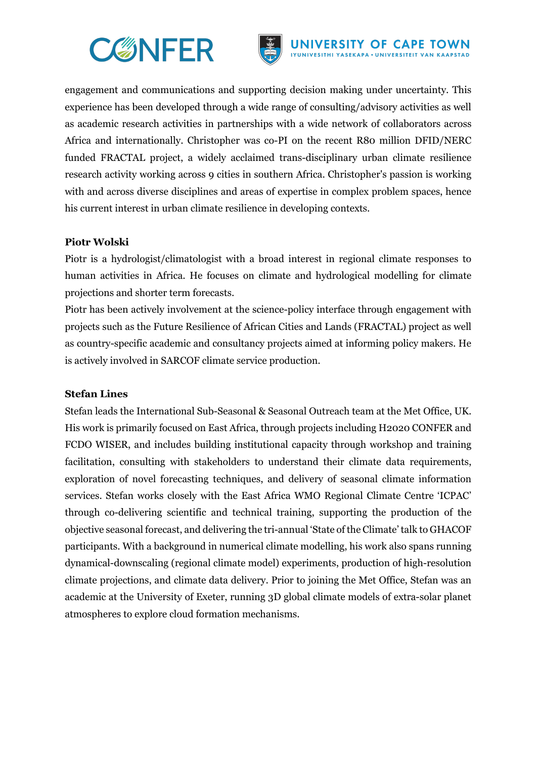



engagement and communications and supporting decision making under uncertainty. This experience has been developed through a wide range of consulting/advisory activities as well as academic research activities in partnerships with a wide network of collaborators across Africa and internationally. Christopher was co-PI on the recent R80 million DFID/NERC funded FRACTAL project, a widely acclaimed trans-disciplinary urban climate resilience research activity working across 9 cities in southern Africa. Christopher's passion is working with and across diverse disciplines and areas of expertise in complex problem spaces, hence his current interest in urban climate resilience in developing contexts.

#### **Piotr Wolski**

Piotr is a hydrologist/climatologist with a broad interest in regional climate responses to human activities in Africa. He focuses on climate and hydrological modelling for climate projections and shorter term forecasts.

Piotr has been actively involvement at the science-policy interface through engagement with projects such as the Future Resilience of African Cities and Lands (FRACTAL) project as well as country-specific academic and consultancy projects aimed at informing policy makers. He is actively involved in SARCOF climate service production.

#### **Stefan Lines**

Stefan leads the International Sub-Seasonal & Seasonal Outreach team at the Met Office, UK. His work is primarily focused on East Africa, through projects including H2020 CONFER and FCDO WISER, and includes building institutional capacity through workshop and training facilitation, consulting with stakeholders to understand their climate data requirements, exploration of novel forecasting techniques, and delivery of seasonal climate information services. Stefan works closely with the East Africa WMO Regional Climate Centre 'ICPAC' through co-delivering scientific and technical training, supporting the production of the objective seasonal forecast, and delivering the tri-annual 'State of the Climate' talk to GHACOF participants. With a background in numerical climate modelling, his work also spans running dynamical-downscaling (regional climate model) experiments, production of high-resolution climate projections, and climate data delivery. Prior to joining the Met Office, Stefan was an academic at the University of Exeter, running 3D global climate models of extra-solar planet atmospheres to explore cloud formation mechanisms.